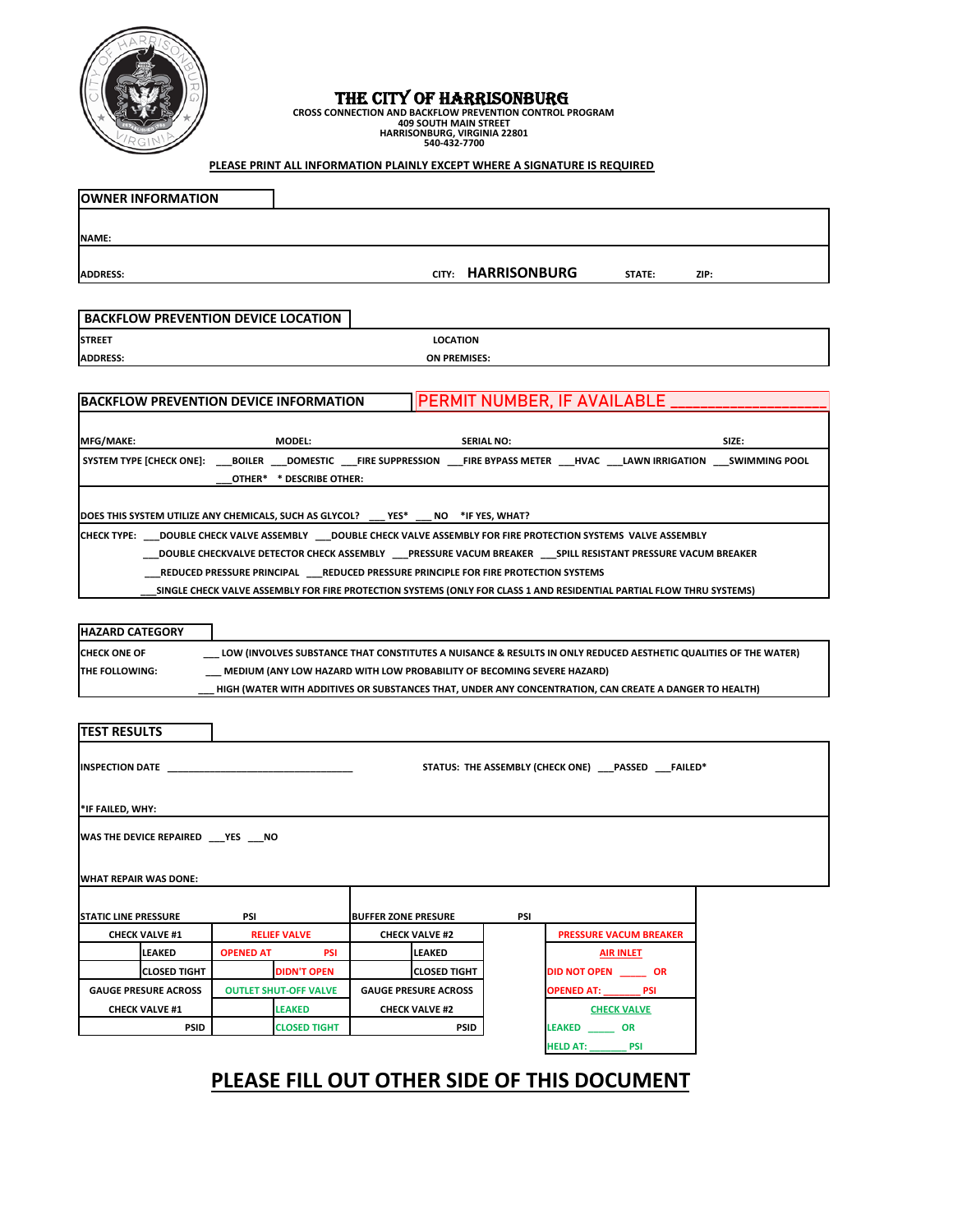## THE CITY OF HARRISONBURG

CROSS CONNECTION AND BACKFLOW PREVENTION CONTROL PROGRAM<br>409 SOUTH MAIN STREET<br>HARRISONBURG, VIRGINIA 22801<br>540-432-7700

## **PLEASE PRINT ALL INFORMATION PLAINLY EXCEPT WHERE A SIGNATURE IS REQUIRED**

|                                                                                                        | <b>OWNER INFORMATION</b>                   |                              |                                                                                           |                             |                       |                    |                                                                                                                                            |       |  |
|--------------------------------------------------------------------------------------------------------|--------------------------------------------|------------------------------|-------------------------------------------------------------------------------------------|-----------------------------|-----------------------|--------------------|--------------------------------------------------------------------------------------------------------------------------------------------|-------|--|
|                                                                                                        |                                            |                              |                                                                                           |                             |                       |                    |                                                                                                                                            |       |  |
| <b>NAME:</b>                                                                                           |                                            |                              |                                                                                           |                             |                       |                    |                                                                                                                                            |       |  |
| <b>ADDRESS:</b>                                                                                        |                                            |                              |                                                                                           |                             |                       | CITY: HARRISONBURG | STATE:                                                                                                                                     | ZIP:  |  |
|                                                                                                        |                                            |                              |                                                                                           |                             |                       |                    |                                                                                                                                            |       |  |
|                                                                                                        | <b>BACKFLOW PREVENTION DEVICE LOCATION</b> |                              |                                                                                           |                             |                       |                    |                                                                                                                                            |       |  |
| <b>STREET</b>                                                                                          |                                            |                              |                                                                                           |                             | <b>LOCATION</b>       |                    |                                                                                                                                            |       |  |
| <b>ADDRESS:</b>                                                                                        |                                            |                              |                                                                                           |                             | ON PREMISES:          |                    |                                                                                                                                            |       |  |
|                                                                                                        |                                            |                              |                                                                                           |                             |                       |                    |                                                                                                                                            |       |  |
|                                                                                                        |                                            |                              | <b>BACKFLOW PREVENTION DEVICE INFORMATION</b>                                             |                             |                       |                    | PERMIT NUMBER, IF AVAILABLE                                                                                                                |       |  |
|                                                                                                        |                                            |                              |                                                                                           |                             |                       |                    |                                                                                                                                            |       |  |
| MFG/MAKE:                                                                                              |                                            |                              | <b>MODEL:</b>                                                                             |                             |                       | <b>SERIAL NO:</b>  |                                                                                                                                            | SIZE: |  |
|                                                                                                        |                                            |                              | OTHER* * DESCRIBE OTHER:                                                                  |                             |                       |                    | SYSTEM TYPE [CHECK ONE]: ____BOILER ____DOMESTIC ____FIRE SUPPRESSION ____FIRE BYPASS METER ____HVAC ____LAWN IRRIGATION ____SWIMMING POOL |       |  |
|                                                                                                        |                                            |                              |                                                                                           |                             |                       |                    |                                                                                                                                            |       |  |
|                                                                                                        |                                            |                              | DOES THIS SYSTEM UTILIZE ANY CHEMICALS, SUCH AS GLYCOL?                                   | YES*                        |                       | NO *IF YES, WHAT?  |                                                                                                                                            |       |  |
|                                                                                                        |                                            |                              |                                                                                           |                             |                       |                    | CHECK TYPE: ___ DOUBLE CHECK VALVE ASSEMBLY ___ DOUBLE CHECK VALVE ASSEMBLY FOR FIRE PROTECTION SYSTEMS VALVE ASSEMBLY                     |       |  |
|                                                                                                        |                                            |                              |                                                                                           |                             |                       |                    | DOUBLE CHECKVALVE DETECTOR CHECK ASSEMBLY ____PRESSURE VACUM BREAKER ____SPILL RESISTANT PRESSURE VACUM BREAKER_                           |       |  |
|                                                                                                        |                                            |                              | _REDUCED PRESSURE PRINCIPAL    ____REDUCED PRESSURE PRINCIPLE FOR FIRE PROTECTION SYSTEMS |                             |                       |                    |                                                                                                                                            |       |  |
|                                                                                                        |                                            |                              |                                                                                           |                             |                       |                    | SINGLE CHECK VALVE ASSEMBLY FOR FIRE PROTECTION SYSTEMS (ONLY FOR CLASS 1 AND RESIDENTIAL PARTIAL FLOW THRU SYSTEMS)                       |       |  |
|                                                                                                        |                                            |                              |                                                                                           |                             |                       |                    |                                                                                                                                            |       |  |
| <b>HAZARD CATEGORY</b>                                                                                 |                                            |                              |                                                                                           |                             |                       |                    |                                                                                                                                            |       |  |
| <b>CHECK ONE OF</b>                                                                                    |                                            |                              |                                                                                           |                             |                       |                    | LOW (INVOLVES SUBSTANCE THAT CONSTITUTES A NUISANCE & RESULTS IN ONLY REDUCED AESTHETIC QUALITIES OF THE WATER                             |       |  |
| THE FOLLOWING:                                                                                         |                                            |                              | _ MEDIUM (ANY LOW HAZARD WITH LOW PROBABILITY OF BECOMING SEVERE HAZARD)                  |                             |                       |                    |                                                                                                                                            |       |  |
| HIGH (WATER WITH ADDITIVES OR SUBSTANCES THAT, UNDER ANY CONCENTRATION, CAN CREATE A DANGER TO HEALTH) |                                            |                              |                                                                                           |                             |                       |                    |                                                                                                                                            |       |  |
|                                                                                                        |                                            |                              |                                                                                           |                             |                       |                    |                                                                                                                                            |       |  |
| <b>TEST RESULTS</b>                                                                                    |                                            |                              |                                                                                           |                             |                       |                    |                                                                                                                                            |       |  |
|                                                                                                        |                                            |                              |                                                                                           |                             |                       |                    |                                                                                                                                            |       |  |
| <b>INSPECTION DATE</b>                                                                                 |                                            |                              |                                                                                           |                             |                       |                    | STATUS: THE ASSEMBLY (CHECK ONE) ___ PASSED ___FAILED*                                                                                     |       |  |
|                                                                                                        |                                            |                              |                                                                                           |                             |                       |                    |                                                                                                                                            |       |  |
| *IF FAILED, WHY:                                                                                       |                                            |                              |                                                                                           |                             |                       |                    |                                                                                                                                            |       |  |
| WAS THE DEVICE REPAIRED ___ YES ___ NO                                                                 |                                            |                              |                                                                                           |                             |                       |                    |                                                                                                                                            |       |  |
|                                                                                                        |                                            |                              |                                                                                           |                             |                       |                    |                                                                                                                                            |       |  |
|                                                                                                        |                                            |                              |                                                                                           |                             |                       |                    |                                                                                                                                            |       |  |
| <b>WHAT REPAIR WAS DONE:</b>                                                                           |                                            |                              |                                                                                           |                             |                       |                    |                                                                                                                                            |       |  |
| <b>STATIC LINE PRESSURE</b><br>PSI                                                                     |                                            |                              | <b>BUFFER ZONE PRESURE</b>                                                                |                             | PSI                   |                    |                                                                                                                                            |       |  |
| <b>CHECK VALVE #1</b>                                                                                  |                                            | <b>RELIEF VALVE</b>          |                                                                                           | <b>CHECK VALVE #2</b>       |                       |                    | <b>PRESSURE VACUM BREAKER</b>                                                                                                              |       |  |
| LEAKED                                                                                                 |                                            | <b>OPENED AT</b>             | <b>PSI</b>                                                                                |                             | LEAKED                |                    | <b>AIR INLET</b>                                                                                                                           |       |  |
|                                                                                                        | <b>CLOSED TIGHT</b>                        |                              | <b>DIDN'T OPEN</b>                                                                        |                             | <b>CLOSED TIGHT</b>   |                    | <b>DID NOT OPEN OR</b>                                                                                                                     |       |  |
| <b>GAUGE PRESURE ACROSS</b>                                                                            |                                            | <b>OUTLET SHUT-OFF VALVE</b> |                                                                                           | <b>GAUGE PRESURE ACROSS</b> |                       |                    | OPENED AT: _________ PSI                                                                                                                   |       |  |
| <b>CHECK VALVE #1</b>                                                                                  |                                            |                              | <b>LEAKED</b>                                                                             |                             | <b>CHECK VALVE #2</b> |                    | <b>CHECK VALVE</b>                                                                                                                         |       |  |
|                                                                                                        | <b>PSID</b>                                |                              | <b>CLOSED TIGHT</b>                                                                       |                             | <b>PSID</b>           |                    | LEAKED OR                                                                                                                                  |       |  |
|                                                                                                        |                                            |                              |                                                                                           |                             |                       |                    | HELD AT: PSI                                                                                                                               |       |  |

## **PLEASE FILL OUT OTHER SIDE OF THIS DOCUMENT**